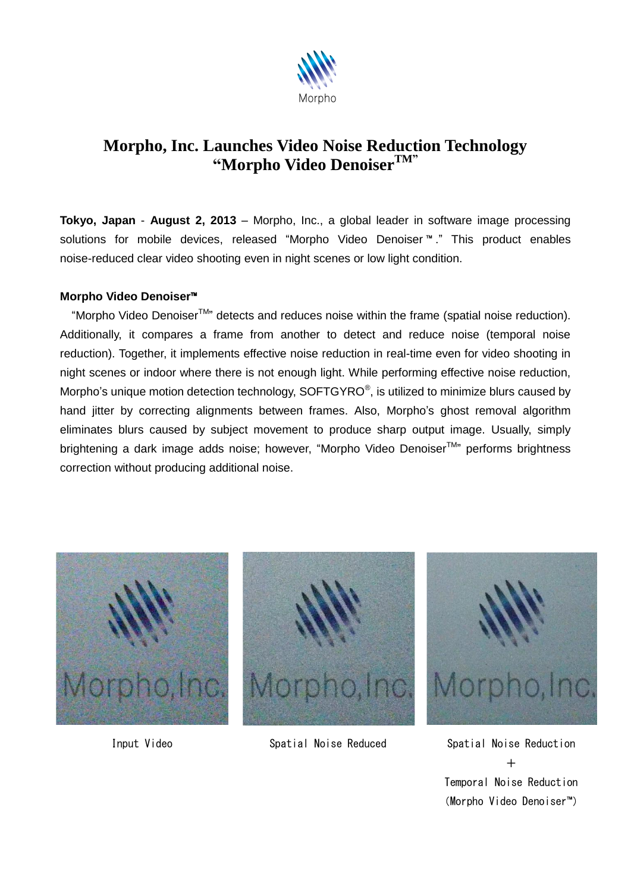

## **Morpho, Inc. Launches Video Noise Reduction Technology "Morpho Video DenoiserTM"**

**Tokyo, Japan** - **August 2, 2013** – Morpho, Inc., a global leader in software image processing solutions for mobile devices, released "Morpho Video Denoiser ™ ." This product enables noise-reduced clear video shooting even in night scenes or low light condition.

## **Morpho Video Denoiser**™

"Morpho Video Denoiser<sup>™</sup>" detects and reduces noise within the frame (spatial noise reduction). Additionally, it compares a frame from another to detect and reduce noise (temporal noise reduction). Together, it implements effective noise reduction in real-time even for video shooting in night scenes or indoor where there is not enough light. While performing effective noise reduction, Morpho's unique motion detection technology,  $SOFTGYRO^{\circ}$ , is utilized to minimize blurs caused by hand jitter by correcting alignments between frames. Also, Morpho's ghost removal algorithm eliminates blurs caused by subject movement to produce sharp output image. Usually, simply brightening a dark image adds noise; however, "Morpho Video Denoiser<sup>™</sup> performs brightness correction without producing additional noise.





Input Video Spatial Noise Reduced Spatial Noise Reduction



 $+$ Temporal Noise Reduction (Morpho Video Denoiser™)